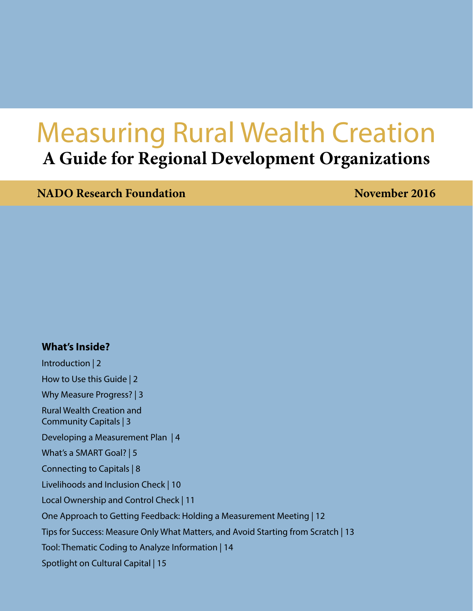# Measuring Rural Wealth Creation **A Guide for Regional Development Organizations**

**NADO Research Foundation** November 2016

### **What's Inside?**

[Introduction | 2](#page-1-0) [How to Use this Guide | 2](#page-1-0) [Why Measure Progress? | 3](#page-2-0) [Rural Wealth Creation and](#page-2-0)  [Community Capitals | 3](#page-2-0) [Developing a Measurement Plan | 4](#page-3-0) [What's a SMART Goal? | 5](#page-4-0) [Connecting to Capitals | 8](#page-7-0) [Livelihoods and Inclusion Check | 10](#page-9-0) [Local Ownership and Control Check | 11](#page-10-0) [One Approach to Getting Feedback: Holding a Measurement Meeting | 12](#page-11-0) [Tips for Success: Measure Only What Matters, and Avoid Starting from Scratch | 13](#page-12-0) [Tool: Thematic Coding to Analyze Information | 14](#page-13-0) [Spotlight on Cultural Capital | 15](#page-14-0)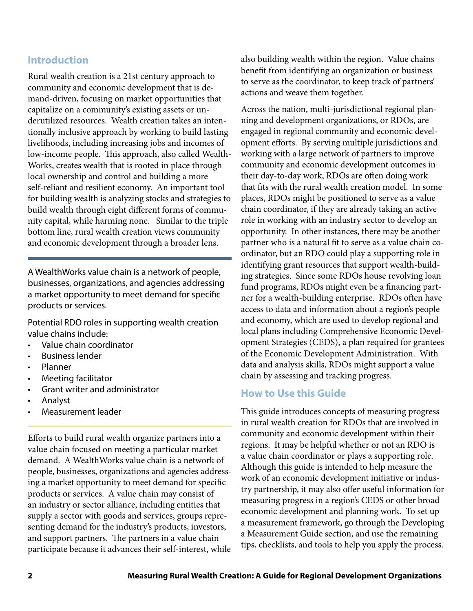### <span id="page-1-0"></span>**Introduction**

Rural wealth creation is a 21st century approach to community and economic development that is demand-driven, focusing on market opportunities that capitalize on a community's existing assets or underutilized resources. Wealth creation takes an intentionally inclusive approach by working to build lasting livelihoods, including increasing jobs and incomes of low-income people. This approach, also called Wealth-Works, creates wealth that is rooted in place through local ownership and control and building a more self-reliant and resilient economy. An important tool for building wealth is analyzing stocks and strategies to build wealth through eight different forms of community capital, while harming none. Similar to the triple bottom line, rural wealth creation views community and economic development through a broader lens.

A WealthWorks value chain is a network of people, businesses, organizations, and agencies addressing a market opportunity to meet demand for specific products or services.

Potential RDO roles in supporting wealth creation value chains include:

- Value chain coordinator
- **Business lender**
- **Planner**
- **Meeting facilitator**
- Grant writer and administrator
- **Analyst**
- Measurement leader

Efforts to build rural wealth organize partners into a value chain focused on meeting a particular market demand. A WealthWorks value chain is a network of people, businesses, organizations and agencies addressing a market opportunity to meet demand for specific products or services. A value chain may consist of an industry or sector alliance, including entities that supply a sector with goods and services, groups representing demand for the industry's products, investors, and support partners. The partners in a value chain participate because it advances their self-interest, while also building wealth within the region. Value chains benefit from identifying an organization or business to serve as the coordinator, to keep track of partners' actions and weave them together.

Across the nation, multi-jurisdictional regional planning and development organizations, or RDOs, are engaged in regional community and economic development efforts. By serving multiple jurisdictions and working with a large network of partners to improve community and economic development outcomes in their day-to-day work, RDOs are often doing work that fits with the rural wealth creation model. In some places, RDOs might be positioned to serve as a value chain coordinator, if they are already taking an active role in working with an industry sector to develop an opportunity. In other instances, there may be another partner who is a natural fit to serve as a value chain coordinator, but an RDO could play a supporting role in identifying grant resources that support wealth-building strategies. Since some RDOs house revolving loan fund programs, RDOs might even be a financing partner for a wealth-building enterprise. RDOs often have access to data and information about a region's people and economy, which are used to develop regional and local plans including Comprehensive Economic Development Strategies (CEDS), a plan required for grantees of the Economic Development Administration. With data and analysis skills, RDOs might support a value chain by assessing and tracking progress.

### **How to Use this Guide**

This guide introduces concepts of measuring progress in rural wealth creation for RDOs that are involved in community and economic development within their regions. It may be helpful whether or not an RDO is a value chain coordinator or plays a supporting role. Although this guide is intended to help measure the work of an economic development initiative or industry partnership, it may also offer useful information for measuring progress in a region's CEDS or other broad economic development and planning work. To set up a measurement framework, go through the Developing a Measurement Guide section, and use the remaining tips, checklists, and tools to help you apply the process.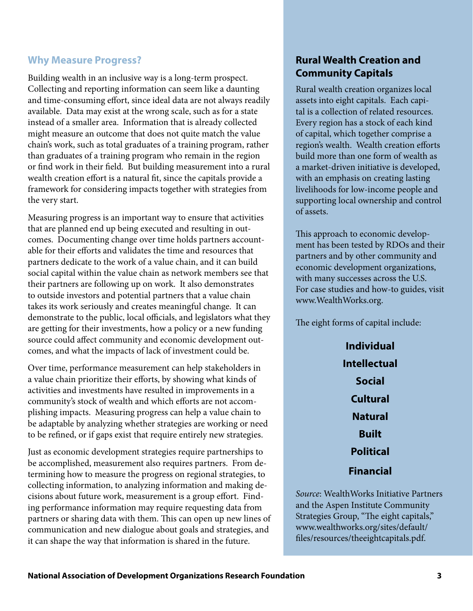### <span id="page-2-0"></span>**Why Measure Progress?**

Building wealth in an inclusive way is a long-term prospect. Collecting and reporting information can seem like a daunting and time-consuming effort, since ideal data are not always readily available. Data may exist at the wrong scale, such as for a state instead of a smaller area. Information that is already collected might measure an outcome that does not quite match the value chain's work, such as total graduates of a training program, rather than graduates of a training program who remain in the region or find work in their field. But building measurement into a rural wealth creation effort is a natural fit, since the capitals provide a framework for considering impacts together with strategies from the very start.

Measuring progress is an important way to ensure that activities that are planned end up being executed and resulting in outcomes. Documenting change over time holds partners accountable for their efforts and validates the time and resources that partners dedicate to the work of a value chain, and it can build social capital within the value chain as network members see that their partners are following up on work. It also demonstrates to outside investors and potential partners that a value chain takes its work seriously and creates meaningful change. It can demonstrate to the public, local officials, and legislators what they are getting for their investments, how a policy or a new funding source could affect community and economic development outcomes, and what the impacts of lack of investment could be.

Over time, performance measurement can help stakeholders in a value chain prioritize their efforts, by showing what kinds of activities and investments have resulted in improvements in a community's stock of wealth and which efforts are not accomplishing impacts. Measuring progress can help a value chain to be adaptable by analyzing whether strategies are working or need to be refined, or if gaps exist that require entirely new strategies.

Just as economic development strategies require partnerships to be accomplished, measurement also requires partners. From determining how to measure the progress on regional strategies, to collecting information, to analyzing information and making decisions about future work, measurement is a group effort. Finding performance information may require requesting data from partners or sharing data with them. This can open up new lines of communication and new dialogue about goals and strategies, and it can shape the way that information is shared in the future.

# **Rural Wealth Creation and Community Capitals**

Rural wealth creation organizes local assets into eight capitals. Each capital is a collection of related resources. Every region has a stock of each kind of capital, which together comprise a region's wealth. Wealth creation efforts build more than one form of wealth as a market-driven initiative is developed, with an emphasis on creating lasting livelihoods for low-income people and supporting local ownership and control of assets.

This approach to economic development has been tested by RDOs and their partners and by other community and economic development organizations, with many successes across the U.S. For case studies and how-to guides, visit [www.WealthWorks.org.](http://www.WealthWorks.org)

The eight forms of capital include:

**Individual Intellectual Social Cultural Natural Built Political Financial**

*Source*: WealthWorks Initiative Partners and the Aspen Institute Community Strategies Group, "The eight capitals," [www.wealthworks.org/sites/default/](http://www.wealthworks.org/sites/default/files/resources/theeightcapitals.pdf) [files/resources/theeightcapitals.pdf.](http://www.wealthworks.org/sites/default/files/resources/theeightcapitals.pdf)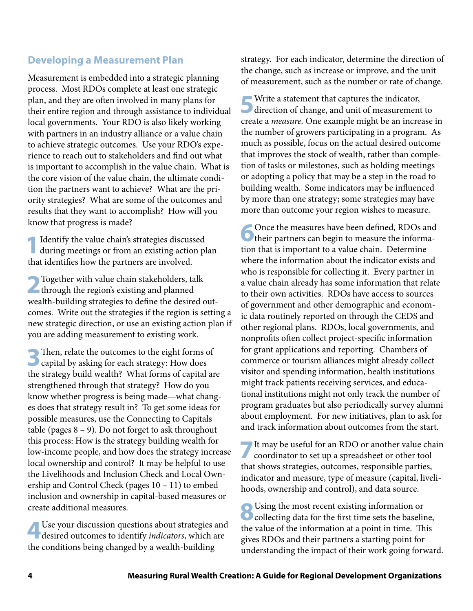### <span id="page-3-0"></span>**Developing a Measurement Plan**

Measurement is embedded into a strategic planning process. Most RDOs complete at least one strategic plan, and they are often involved in many plans for their entire region and through assistance to individual local governments. Your RDO is also likely working with partners in an industry alliance or a value chain to achieve strategic outcomes. Use your RDO's experience to reach out to stakeholders and find out what is important to accomplish in the value chain. What is the core vision of the value chain, the ultimate condition the partners want to achieve? What are the priority strategies? What are some of the outcomes and results that they want to accomplish? How will you know that progress is made?

Identify the value chain's strategies discussed during meetings or from an existing action plan that identifies how the partners are involved.

**2**Together with value chain stakeholders, talk **through the region's existing and planned** wealth-building strategies to define the desired outcomes. Write out the strategies if the region is setting a new strategic direction, or use an existing action plan if you are adding measurement to existing work.

**3**Then, relate the outcomes to the eight forms of **C** capital by asking for each strategy: How does the strategy build wealth? What forms of capital are strengthened through that strategy? How do you know whether progress is being made—what changes does that strategy result in? To get some ideas for possible measures, use the Connecting to Capitals table (pages  $8 - 9$ ). Do not forget to ask throughout this process: How is the strategy building wealth for low-income people, and how does the strategy increase local ownership and control? It may be helpful to use the Livelihoods and Inclusion Check and Local Ownership and Control Check (pages 10 – 11) to embed inclusion and ownership in capital-based measures or create additional measures.

**4**Use your discussion questions about strategies and desired outcomes to identify *indicators*, which are the conditions being changed by a wealth-building

strategy. For each indicator, determine the direction of the change, such as increase or improve, and the unit of measurement, such as the number or rate of change.

Write a statement that captures the indicator, direction of change, and unit of measurement to create a *measure.* One example might be an increase in the number of growers participating in a program. As much as possible, focus on the actual desired outcome that improves the stock of wealth, rather than completion of tasks or milestones, such as holding meetings or adopting a policy that may be a step in the road to building wealth. Some indicators may be influenced by more than one strategy; some strategies may have more than outcome your region wishes to measure.

Once the measures have been defined, RDOs and their partners can begin to measure the information that is important to a value chain. Determine where the information about the indicator exists and who is responsible for collecting it. Every partner in a value chain already has some information that relate to their own activities. RDOs have access to sources of government and other demographic and economic data routinely reported on through the CEDS and other regional plans. RDOs, local governments, and nonprofits often collect project-specific information for grant applications and reporting. Chambers of commerce or tourism alliances might already collect visitor and spending information, health institutions might track patients receiving services, and educational institutions might not only track the number of program graduates but also periodically survey alumni about employment. For new initiatives, plan to ask for and track information about outcomes from the start.

**7**It may be useful for an RDO or another value chain coordinator to set up a spreadsheet or other tool that shows strategies, outcomes, responsible parties, indicator and measure, type of measure (capital, livelihoods, ownership and control), and data source.

**8**Using the most recent existing information or collecting data for the first time sets the baseline, the value of the information at a point in time. This gives RDOs and their partners a starting point for understanding the impact of their work going forward.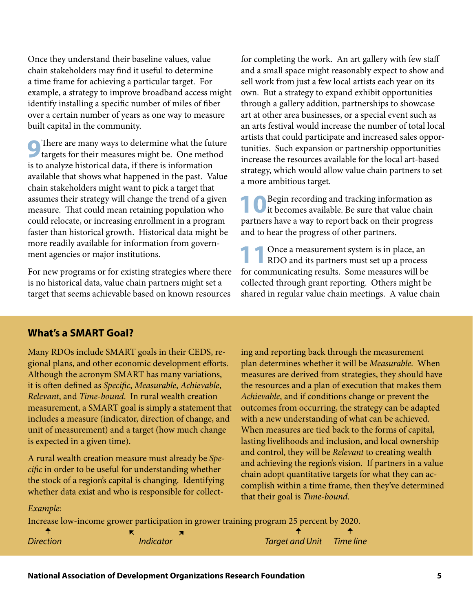<span id="page-4-0"></span>Once they understand their baseline values, value chain stakeholders may find it useful to determine a time frame for achieving a particular target. For example, a strategy to improve broadband access might identify installing a specific number of miles of fiber over a certain number of years as one way to measure built capital in the community.

**9**There are many ways to determine what the future targets for their measures might be. One method is to analyze historical data, if there is information available that shows what happened in the past. Value chain stakeholders might want to pick a target that assumes their strategy will change the trend of a given measure. That could mean retaining population who could relocate, or increasing enrollment in a program faster than historical growth. Historical data might be more readily available for information from government agencies or major institutions.

For new programs or for existing strategies where there is no historical data, value chain partners might set a target that seems achievable based on known resources

for completing the work. An art gallery with few staff and a small space might reasonably expect to show and sell work from just a few local artists each year on its own. But a strategy to expand exhibit opportunities through a gallery addition, partnerships to showcase art at other area businesses, or a special event such as an arts festival would increase the number of total local artists that could participate and increased sales opportunities. Such expansion or partnership opportunities increase the resources available for the local art-based strategy, which would allow value chain partners to set a more ambitious target.

**10**Begin recording and tracking information as it becomes available. Be sure that value chain partners have a way to report back on their progress and to hear the progress of other partners.

**11** Once a measurement system is in place, an RDO and its partners must set up a process for communicating results. Some measures will be collected through grant reporting. Others might be shared in regular value chain meetings. A value chain

### **What's a SMART Goal?**

Many RDOs include SMART goals in their CEDS, regional plans, and other economic development efforts. Although the acronym SMART has many variations, it is often defined as *Specific*, *Measurable*, *Achievable*, *Relevant*, and *Time-bound*. In rural wealth creation measurement, a SMART goal is simply a statement that includes a measure (indicator, direction of change, and unit of measurement) and a target (how much change is expected in a given time).

A rural wealth creation measure must already be *Specific* in order to be useful for understanding whether the stock of a region's capital is changing. Identifying whether data exist and who is responsible for collecting and reporting back through the measurement plan determines whether it will be *Measurable*. When measures are derived from strategies, they should have the resources and a plan of execution that makes them *Achievable*, and if conditions change or prevent the outcomes from occurring, the strategy can be adapted with a new understanding of what can be achieved. When measures are tied back to the forms of capital, lasting livelihoods and inclusion, and local ownership and control, they will be *Relevant* to creating wealth and achieving the region's vision. If partners in a value chain adopt quantitative targets for what they can accomplish within a time frame, then they've determined that their goal is *Time-bound*.

*Example:*

Increase low-income grower participation in grower training program 25 percent by 2020.

**←**

**← ←**

*Direction Indicator Target and Unit Time line* **← ←**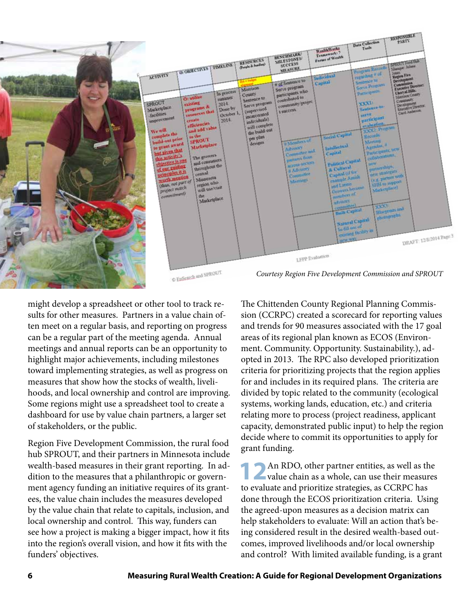

might develop a spreadsheet or other tool to track results for other measures. Partners in a value chain often meet on a regular basis, and reporting on progress can be a regular part of the meeting agenda. Annual meetings and annual reports can be an opportunity to highlight major achievements, including milestones toward implementing strategies, as well as progress on measures that show how the stocks of wealth, livelihoods, and local ownership and control are improving. Some regions might use a spreadsheet tool to create a dashboard for use by value chain partners, a larger set of stakeholders, or the public.

Region Five Development Commission, the rural food hub SPROUT, and their partners in Minnesota include wealth-based measures in their grant reporting. In addition to the measures that a philanthropic or government agency funding an initiative requires of its grantees, the value chain includes the measures developed by the value chain that relate to capitals, inclusion, and local ownership and control. This way, funders can see how a project is making a bigger impact, how it fits into the region's overall vision, and how it fits with the funders' objectives.

The Chittenden County Regional Planning Commission (CCRPC) created a scorecard for reporting values and trends for 90 measures associated with the 17 goal areas of its regional plan known as ECOS (Environment. Community. Opportunity. Sustainability.), adopted in 2013. The RPC also developed prioritization criteria for prioritizing projects that the region applies for and includes in its required plans. The criteria are divided by topic related to the community (ecological systems, working lands, education, etc.) and criteria relating more to process (project readiness, applicant capacity, demonstrated public input) to help the region decide where to commit its opportunities to apply for grant funding.

**12**An RDO, other partner entities, as well as the value chain as a whole, can use their measures to evaluate and prioritize strategies, as CCRPC has done through the ECOS prioritization criteria. Using the agreed-upon measures as a decision matrix can help stakeholders to evaluate: Will an action that's being considered result in the desired wealth-based outcomes, improved livelihoods and/or local ownership and control? With limited available funding, is a grant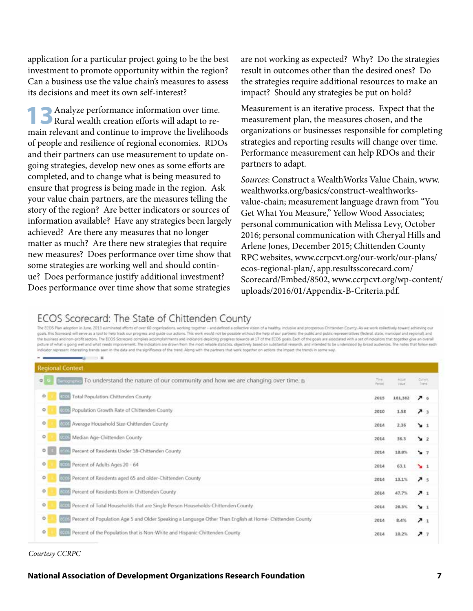application for a particular project going to be the best investment to promote opportunity within the region? Can a business use the value chain's measures to assess its decisions and meet its own self-interest?

**13** Analyze performance information over time. Rural wealth creation efforts will adapt to remain relevant and continue to improve the livelihoods of people and resilience of regional economies. RDOs and their partners can use measurement to update ongoing strategies, develop new ones as some efforts are completed, and to change what is being measured to ensure that progress is being made in the region. Ask your value chain partners, are the measures telling the story of the region? Are better indicators or sources of information available? Have any strategies been largely achieved? Are there any measures that no longer matter as much? Are there new strategies that require new measures? Does performance over time show that some strategies are working well and should continue? Does performance justify additional investment? Does performance over time show that some strategies

are not working as expected? Why? Do the strategies result in outcomes other than the desired ones? Do the strategies require additional resources to make an impact? Should any strategies be put on hold?

Measurement is an iterative process. Expect that the measurement plan, the measures chosen, and the organizations or businesses responsible for completing strategies and reporting results will change over time. Performance measurement can help RDOs and their partners to adapt.

*Sources*: Construct a WealthWorks Value Chain, www. wealthworks.org/basics/construct-wealthworksvalue-chain; measurement language drawn from "You Get What You Measure," Yellow Wood Associates; personal communication with Melissa Levy, October 2016; personal communication with Cheryal Hills and Arlene Jones, December 2015; Chittenden County RPC websites, [www.ccrpcvt.org/our-work/our-plans/](http://www.ccrpcvt.org/our-work/our-plans/ecos-regional-plan/) [ecos-regional-plan/](http://www.ccrpcvt.org/our-work/our-plans/ecos-regional-plan/), [app.resultsscorecard.com/](https://app.resultsscorecard.com/Scorecard/Embed/8502) [Scorecard/Embed/8502](https://app.resultsscorecard.com/Scorecard/Embed/8502), [www.ccrpcvt.org/wp-content/](http://www.ccrpcvt.org/wp-content/uploads/2016/01/Appendix-B-Criteria.pdf) [uploads/2016/01/Appendix-B-Criteria.pdf](http://www.ccrpcvt.org/wp-content/uploads/2016/01/Appendix-B-Criteria.pdf).

### ECOS Scorecard: The State of Chittenden County

 $\cdots$ 

The ECOS Plan adoption in June, 2013 culminated afforts of over 60 organizations, working together - and defined a collective vision of a healthy, inclusive and prosperous Chicterdan County. As we work collectively toward goals. this Scorecard will serve as a tool to help track our progress and guide our actions. This work would not be possible without the help of our partners: the public and public representatives (federal, state, municipa the business and non-profit sectors. The ECOS Scorecard comples accomplatiments and indicators depicting progress towards at 1.7 of the ECOS goals. Each of the goals are associated with a set of indicators that together gi indicator represent interesting trends seen in the data and the significance of the trend. Along with the partners that work together on actions the impact the trends in some way.

| <b>Regional Context</b>                                                                                                 |                   |                  |                       |
|-------------------------------------------------------------------------------------------------------------------------|-------------------|------------------|-----------------------|
| Denoming To understand the nature of our community and how we are changing over time.<br>$\circ$                        | Title:<br>Painter | Actual<br>Vilus: | durent<br><b>Days</b> |
| $\circ$<br><b>ESSE Total Population-Chittenden County</b>                                                               | 2015              | 161,382          | 76                    |
| $\circ$<br>Local Population Growth Rate of Chittenden County                                                            | 2010              | 1.58             | 7 <sub>3</sub>        |
| $\circ$<br>BAULT Average Household Size-Chittenden County                                                               | 2014              | 2.36             | $\mathbf{v}$ 1        |
| $\circ$<br><b>EXILE Median Age-Chittenden County</b>                                                                    | 2014              | 36.3             | $\mathbf{v}$ 2        |
| ۰<br><b>Inc.</b> Percent of Residents Under 18-Chittenden County                                                        | 2014              | 18.8%            | $\mathbf{v}$          |
| Esta Percent of Adults Ages 20 - 64<br>$\circ$                                                                          | 2014              | 63.1             | $\geq 1$              |
| $\circ$<br>Loss, Percent of Residents aged 65 and older-Chittenden County                                               | 2014              | 13.1%            | 7.5                   |
| <b>Research of Residents Born in Chittenden County</b><br>$\circ$                                                       | 2014              | 47.7%            | 71                    |
| $\circ$<br>Lists. Petcent of Total Households that are Single Person Households-Chittenden County                       | 2014              | 28.3%            | $\mathbf{v}$ 1        |
| $\circ$<br>LCCS Percent of Population Age 5 and Older Speaking a Language Other Than English at Home- Chittenden County | 2014              | 8.4%             | $\lambda_{1}$         |
| Letter Percent of the Population that is Non-White and Hispanic-Chittenden County<br>$\circ$                            | 2014              | 10.2%            | 77                    |

#### *Courtesy CCRPC*

#### **National Association of Development Organizations Research Foundation 7**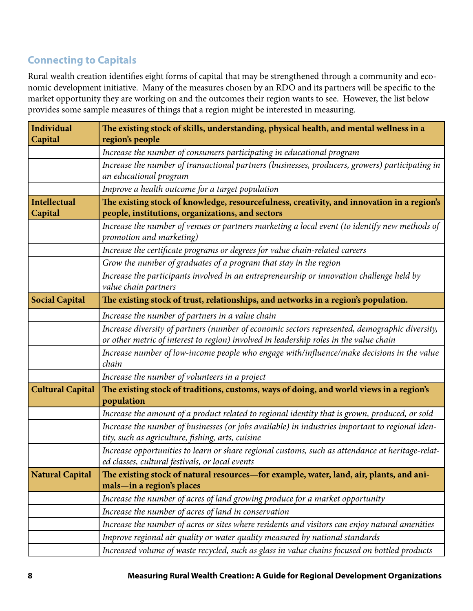# <span id="page-7-0"></span>**Connecting to Capitals**

Rural wealth creation identifies eight forms of capital that may be strengthened through a community and economic development initiative. Many of the measures chosen by an RDO and its partners will be specific to the market opportunity they are working on and the outcomes their region wants to see. However, the list below provides some sample measures of things that a region might be interested in measuring.

| <b>Individual</b>       | The existing stock of skills, understanding, physical health, and mental wellness in a                                                              |  |
|-------------------------|-----------------------------------------------------------------------------------------------------------------------------------------------------|--|
| Capital                 | region's people                                                                                                                                     |  |
|                         | Increase the number of consumers participating in educational program                                                                               |  |
|                         | Increase the number of transactional partners (businesses, producers, growers) participating in                                                     |  |
|                         | an educational program                                                                                                                              |  |
|                         | Improve a health outcome for a target population                                                                                                    |  |
| <b>Intellectual</b>     | The existing stock of knowledge, resourcefulness, creativity, and innovation in a region's                                                          |  |
| Capital                 | people, institutions, organizations, and sectors                                                                                                    |  |
|                         | Increase the number of venues or partners marketing a local event (to identify new methods of<br>promotion and marketing)                           |  |
|                         | Increase the certificate programs or degrees for value chain-related careers                                                                        |  |
|                         | Grow the number of graduates of a program that stay in the region                                                                                   |  |
|                         | Increase the participants involved in an entrepreneurship or innovation challenge held by                                                           |  |
|                         | value chain partners                                                                                                                                |  |
| <b>Social Capital</b>   | The existing stock of trust, relationships, and networks in a region's population.                                                                  |  |
|                         | Increase the number of partners in a value chain                                                                                                    |  |
|                         | Increase diversity of partners (number of economic sectors represented, demographic diversity,                                                      |  |
|                         | or other metric of interest to region) involved in leadership roles in the value chain                                                              |  |
|                         | Increase number of low-income people who engage with/influence/make decisions in the value<br>chain                                                 |  |
|                         | Increase the number of volunteers in a project                                                                                                      |  |
| <b>Cultural Capital</b> | The existing stock of traditions, customs, ways of doing, and world views in a region's                                                             |  |
|                         | population                                                                                                                                          |  |
|                         | Increase the amount of a product related to regional identity that is grown, produced, or sold                                                      |  |
|                         | Increase the number of businesses (or jobs available) in industries important to regional iden-                                                     |  |
|                         | tity, such as agriculture, fishing, arts, cuisine                                                                                                   |  |
|                         | Increase opportunities to learn or share regional customs, such as attendance at heritage-relat-<br>ed classes, cultural festivals, or local events |  |
| <b>Natural Capital</b>  | The existing stock of natural resources-for example, water, land, air, plants, and ani-                                                             |  |
|                         | mals-in a region's places                                                                                                                           |  |
|                         | Increase the number of acres of land growing produce for a market opportunity                                                                       |  |
|                         | Increase the number of acres of land in conservation                                                                                                |  |
|                         | Increase the number of acres or sites where residents and visitors can enjoy natural amenities                                                      |  |
|                         | Improve regional air quality or water quality measured by national standards                                                                        |  |
|                         | Increased volume of waste recycled, such as glass in value chains focused on bottled products                                                       |  |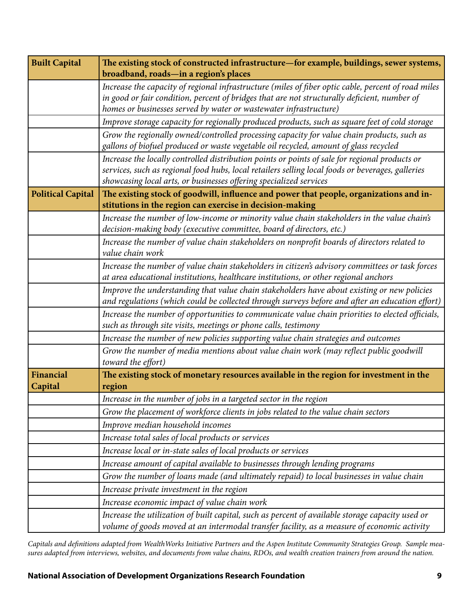| <b>Built Capital</b>        | The existing stock of constructed infrastructure-for example, buildings, sewer systems,                                                                                                                                                                                                                           |
|-----------------------------|-------------------------------------------------------------------------------------------------------------------------------------------------------------------------------------------------------------------------------------------------------------------------------------------------------------------|
|                             | broadband, roads-in a region's places<br>Increase the capacity of regional infrastructure (miles of fiber optic cable, percent of road miles<br>in good or fair condition, percent of bridges that are not structurally deficient, number of<br>homes or businesses served by water or wastewater infrastructure) |
|                             | Improve storage capacity for regionally produced products, such as square feet of cold storage                                                                                                                                                                                                                    |
|                             | Grow the regionally owned/controlled processing capacity for value chain products, such as<br>gallons of biofuel produced or waste vegetable oil recycled, amount of glass recycled                                                                                                                               |
|                             | Increase the locally controlled distribution points or points of sale for regional products or<br>services, such as regional food hubs, local retailers selling local foods or beverages, galleries<br>showcasing local arts, or businesses offering specialized services                                         |
| <b>Political Capital</b>    | The existing stock of goodwill, influence and power that people, organizations and in-                                                                                                                                                                                                                            |
|                             | stitutions in the region can exercise in decision-making                                                                                                                                                                                                                                                          |
|                             | Increase the number of low-income or minority value chain stakeholders in the value chain's<br>decision-making body (executive committee, board of directors, etc.)                                                                                                                                               |
|                             | Increase the number of value chain stakeholders on nonprofit boards of directors related to<br>value chain work                                                                                                                                                                                                   |
|                             | Increase the number of value chain stakeholders in citizen's advisory committees or task forces<br>at area educational institutions, healthcare institutions, or other regional anchors                                                                                                                           |
|                             | Improve the understanding that value chain stakeholders have about existing or new policies<br>and regulations (which could be collected through surveys before and after an education effort)                                                                                                                    |
|                             | Increase the number of opportunities to communicate value chain priorities to elected officials,<br>such as through site visits, meetings or phone calls, testimony                                                                                                                                               |
|                             | Increase the number of new policies supporting value chain strategies and outcomes                                                                                                                                                                                                                                |
|                             | Grow the number of media mentions about value chain work (may reflect public goodwill<br>toward the effort)                                                                                                                                                                                                       |
| <b>Financial</b><br>Capital | The existing stock of monetary resources available in the region for investment in the<br>region                                                                                                                                                                                                                  |
|                             | Increase in the number of jobs in a targeted sector in the region                                                                                                                                                                                                                                                 |
|                             | Grow the placement of workforce clients in jobs related to the value chain sectors                                                                                                                                                                                                                                |
|                             | Improve median household incomes                                                                                                                                                                                                                                                                                  |
|                             | Increase total sales of local products or services                                                                                                                                                                                                                                                                |
|                             | Increase local or in-state sales of local products or services                                                                                                                                                                                                                                                    |
|                             | Increase amount of capital available to businesses through lending programs                                                                                                                                                                                                                                       |
|                             | Grow the number of loans made (and ultimately repaid) to local businesses in value chain                                                                                                                                                                                                                          |
|                             | Increase private investment in the region                                                                                                                                                                                                                                                                         |
|                             | Increase economic impact of value chain work                                                                                                                                                                                                                                                                      |
|                             | Increase the utilization of built capital, such as percent of available storage capacity used or<br>volume of goods moved at an intermodal transfer facility, as a measure of economic activity                                                                                                                   |

*Capitals and definitions adapted from WealthWorks Initiative Partners and the Aspen Institute Community Strategies Group. Sample measures adapted from interviews, websites, and documents from value chains, RDOs, and wealth creation trainers from around the nation.*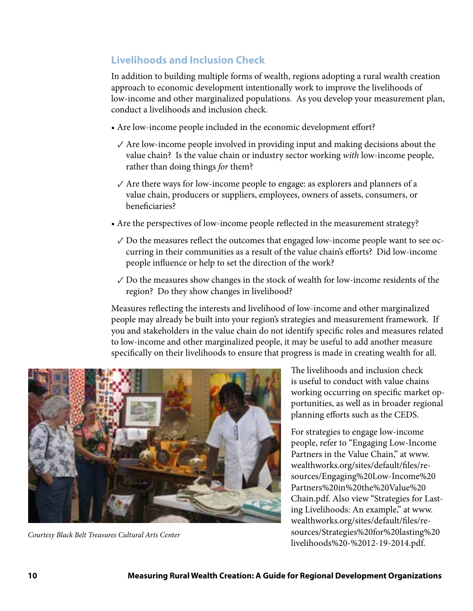# <span id="page-9-0"></span>**Livelihoods and Inclusion Check**

In addition to building multiple forms of wealth, regions adopting a rural wealth creation approach to economic development intentionally work to improve the livelihoods of low-income and other marginalized populations. As you develop your measurement plan, conduct a livelihoods and inclusion check.

- Are low-income people included in the economic development effort?
	- $\sqrt{\ }$  Are low-income people involved in providing input and making decisions about the value chain? Is the value chain or industry sector working *with* low-income people, rather than doing things *for* them?
	- $\sqrt{\ }$  Are there ways for low-income people to engage: as explorers and planners of a value chain, producers or suppliers, employees, owners of assets, consumers, or beneficiaries?
- Are the perspectives of low-income people reflected in the measurement strategy?
	- $\vee$  Do the measures reflect the outcomes that engaged low-income people want to see occurring in their communities as a result of the value chain's efforts? Did low-income people influence or help to set the direction of the work?
	- ✓ Do the measures show changes in the stock of wealth for low-income residents of the region? Do they show changes in livelihood?

Measures reflecting the interests and livelihood of low-income and other marginalized people may already be built into your region's strategies and measurement framework. If you and stakeholders in the value chain do not identify specific roles and measures related to low-income and other marginalized people, it may be useful to add another measure specifically on their livelihoods to ensure that progress is made in creating wealth for all.



The livelihoods and inclusion check is useful to conduct with value chains working occurring on specific market opportunities, as well as in broader regional planning efforts such as the CEDS.

For strategies to engage low-income people, refer to "Engaging Low-Income Partners in the Value Chain," at [www.](http://www.wealthworks.org/sites/default/files/resources/Engaging%20Low-Income%20Partners%20in%20the%20Value%20Chain.pdf) [wealthworks.org/sites/default/files/re](http://www.wealthworks.org/sites/default/files/resources/Engaging%20Low-Income%20Partners%20in%20the%20Value%20Chain.pdf)[sources/Engaging%20Low-Income%20](http://www.wealthworks.org/sites/default/files/resources/Engaging%20Low-Income%20Partners%20in%20the%20Value%20Chain.pdf) [Partners%20in%20the%20Value%20](http://www.wealthworks.org/sites/default/files/resources/Engaging%20Low-Income%20Partners%20in%20the%20Value%20Chain.pdf) [Chain.pdf](http://www.wealthworks.org/sites/default/files/resources/Engaging%20Low-Income%20Partners%20in%20the%20Value%20Chain.pdf). Also view "Strategies for Lasting Livelihoods: An example," at [www.](http://www.wealthworks.org/sites/default/files/resources/Strategies%20for%20lasting%20livelihoods%20-%2012-19-2014.pdf) [wealthworks.org/sites/default/files/re](http://www.wealthworks.org/sites/default/files/resources/Strategies%20for%20lasting%20livelihoods%20-%2012-19-2014.pdf)[sources/Strategies%20for%20lasting%20](http://www.wealthworks.org/sites/default/files/resources/Strategies%20for%20lasting%20livelihoods%20-%2012-19-2014.pdf) [livelihoods%20-%2012-19-2014.pdf](http://www.wealthworks.org/sites/default/files/resources/Strategies%20for%20lasting%20livelihoods%20-%2012-19-2014.pdf). *Courtesy Black Belt Treasures Cultural Arts Center*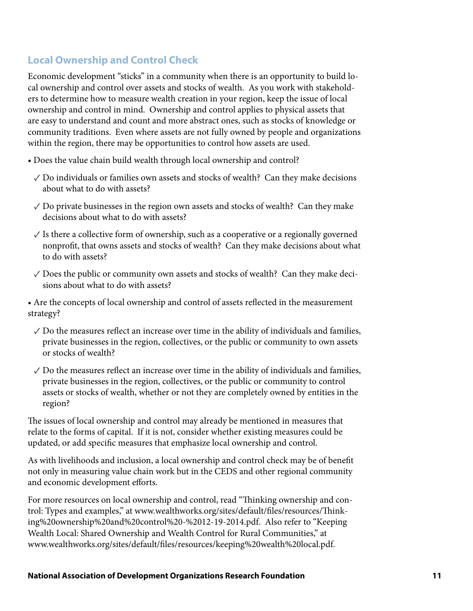# <span id="page-10-0"></span>**Local Ownership and Control Check**

Economic development "sticks" in a community when there is an opportunity to build local ownership and control over assets and stocks of wealth. As you work with stakeholders to determine how to measure wealth creation in your region, keep the issue of local ownership and control in mind. Ownership and control applies to physical assets that are easy to understand and count and more abstract ones, such as stocks of knowledge or community traditions. Even where assets are not fully owned by people and organizations within the region, there may be opportunities to control how assets are used.

- Does the value chain build wealth through local ownership and control?
	- ✓ Do individuals or families own assets and stocks of wealth? Can they make decisions about what to do with assets?
	- $\sqrt{D}$  Do private businesses in the region own assets and stocks of wealth? Can they make decisions about what to do with assets?
	- $\checkmark$  Is there a collective form of ownership, such as a cooperative or a regionally governed nonprofit, that owns assets and stocks of wealth? Can they make decisions about what to do with assets?
	- $\sqrt{\ }$  Does the public or community own assets and stocks of wealth? Can they make decisions about what to do with assets?

• Are the concepts of local ownership and control of assets reflected in the measurement strategy?

- $\sqrt{2}$  Do the measures reflect an increase over time in the ability of individuals and families, private businesses in the region, collectives, or the public or community to own assets or stocks of wealth?
- $\sqrt{2}$  Do the measures reflect an increase over time in the ability of individuals and families, private businesses in the region, collectives, or the public or community to control assets or stocks of wealth, whether or not they are completely owned by entities in the region?

The issues of local ownership and control may already be mentioned in measures that relate to the forms of capital. If it is not, consider whether existing measures could be updated, or add specific measures that emphasize local ownership and control.

As with livelihoods and inclusion, a local ownership and control check may be of benefit not only in measuring value chain work but in the CEDS and other regional community and economic development efforts.

For more resources on local ownership and control, read "Thinking ownership and control: Types and examples," at [www.wealthworks.org/sites/default/files/resources/Think](http://www.wealthworks.org/sites/default/files/resources/Thinking%20ownership%20and%20control%20-%2012-19-2014.pdf)[ing%20ownership%20and%20control%20-%2012-19-2014.pdf.](http://www.wealthworks.org/sites/default/files/resources/Thinking%20ownership%20and%20control%20-%2012-19-2014.pdf) Also refer to "Keeping Wealth Local: Shared Ownership and Wealth Control for Rural Communities," at [www.wealthworks.org/sites/default/files/resources/keeping%20wealth%20local.pdf](http://www.wealthworks.org/sites/default/files/resources/keeping%20wealth%20local.pdf).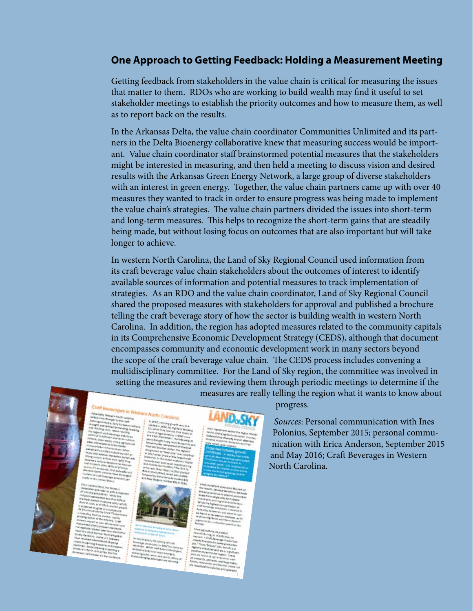### <span id="page-11-0"></span>**One Approach to Getting Feedback: Holding a Measurement Meeting**

Getting feedback from stakeholders in the value chain is critical for measuring the issues that matter to them. RDOs who are working to build wealth may find it useful to set stakeholder meetings to establish the priority outcomes and how to measure them, as well as to report back on the results.

In the Arkansas Delta, the value chain coordinator Communities Unlimited and its partners in the Delta Bioenergy collaborative knew that measuring success would be important. Value chain coordinator staff brainstormed potential measures that the stakeholders might be interested in measuring, and then held a meeting to discuss vision and desired results with the Arkansas Green Energy Network, a large group of diverse stakeholders with an interest in green energy. Together, the value chain partners came up with over 40 measures they wanted to track in order to ensure progress was being made to implement the value chain's strategies. The value chain partners divided the issues into short-term and long-term measures. This helps to recognize the short-term gains that are steadily being made, but without losing focus on outcomes that are also important but will take longer to achieve.

In western North Carolina, the Land of Sky Regional Council used information from its craft beverage value chain stakeholders about the outcomes of interest to identify available sources of information and potential measures to track implementation of strategies. As an RDO and the value chain coordinator, Land of Sky Regional Council shared the proposed measures with stakeholders for approval and published a brochure telling the craft beverage story of how the sector is building wealth in western North Carolina. In addition, the region has adopted measures related to the community capitals in its Comprehensive Economic Development Strategy (CEDS), although that document encompasses community and economic development work in many sectors beyond the scope of the craft beverage value chain. The CEDS process includes convening a multidisciplinary committee. For the Land of Sky region, the committee was involved in setting the measures and reviewing them through periodic meetings to determine if the





**12 Measuring Rural Wealth Creation: A Guide for Regional Development Organizations**

progress.

measures are really telling the region what it wants to know about

*Sources*: Personal communication with Ines Polonius, September 2015; personal communication with Erica Anderson, September 2015 and May 2016; Craft Beverages in Western North Carolina.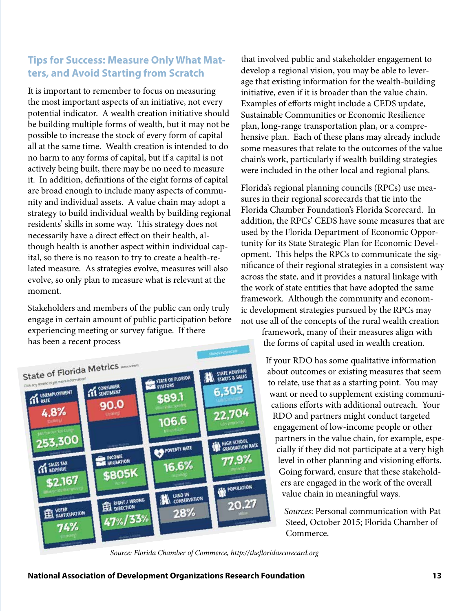# <span id="page-12-0"></span>**Tips for Success: Measure Only What Matters, and Avoid Starting from Scratch**

It is important to remember to focus on measuring the most important aspects of an initiative, not every potential indicator. A wealth creation initiative should be building multiple forms of wealth, but it may not be possible to increase the stock of every form of capital all at the same time. Wealth creation is intended to do no harm to any forms of capital, but if a capital is not actively being built, there may be no need to measure it. In addition, definitions of the eight forms of capital are broad enough to include many aspects of community and individual assets. A value chain may adopt a strategy to build individual wealth by building regional residents' skills in some way. This strategy does not necessarily have a direct effect on their health, although health is another aspect within individual capital, so there is no reason to try to create a health-related measure. As strategies evolve, measures will also evolve, so only plan to measure what is relevant at the moment.

Stakeholders and members of the public can only truly engage in certain amount of public participation before experiencing meeting or survey fatigue. If there has been a recent process



that involved public and stakeholder engagement to develop a regional vision, you may be able to leverage that existing information for the wealth-building initiative, even if it is broader than the value chain. Examples of efforts might include a CEDS update, Sustainable Communities or Economic Resilience plan, long-range transportation plan, or a comprehensive plan. Each of these plans may already include some measures that relate to the outcomes of the value chain's work, particularly if wealth building strategies were included in the other local and regional plans.

Florida's regional planning councils (RPCs) use measures in their regional scorecards that tie into the Florida Chamber Foundation's Florida Scorecard. In addition, the RPCs' CEDS have some measures that are used by the Florida Department of Economic Opportunity for its State Strategic Plan for Economic Development. This helps the RPCs to communicate the significance of their regional strategies in a consistent way across the state, and it provides a natural linkage with the work of state entities that have adopted the same framework. Although the community and economic development strategies pursued by the RPCs may not use all of the concepts of the rural wealth creation

framework, many of their measures align with the forms of capital used in wealth creation.

If your RDO has some qualitative information about outcomes or existing measures that seem to relate, use that as a starting point. You may want or need to supplement existing communications efforts with additional outreach. Your RDO and partners might conduct targeted engagement of low-income people or other partners in the value chain, for example, especially if they did not participate at a very high level in other planning and visioning efforts. Going forward, ensure that these stakeholders are engaged in the work of the overall value chain in meaningful ways.

> *Sources*: Personal communication with Pat Steed, October 2015; Florida Chamber of Commerce.

*Source: Florida Chamber of Commerce, http://thefloridascorecard.org*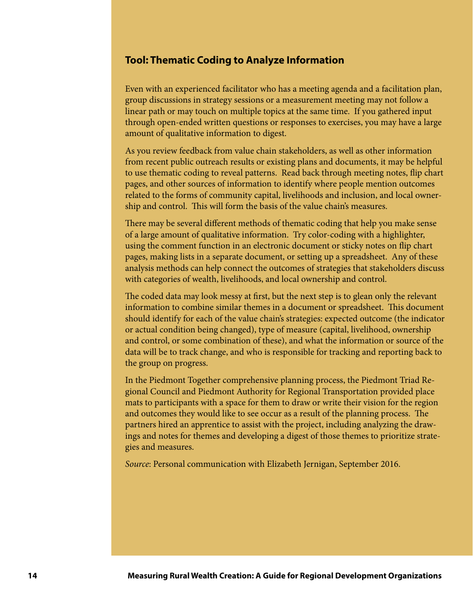### <span id="page-13-0"></span>**Tool: Thematic Coding to Analyze Information**

Even with an experienced facilitator who has a meeting agenda and a facilitation plan, group discussions in strategy sessions or a measurement meeting may not follow a linear path or may touch on multiple topics at the same time. If you gathered input through open-ended written questions or responses to exercises, you may have a large amount of qualitative information to digest.

As you review feedback from value chain stakeholders, as well as other information from recent public outreach results or existing plans and documents, it may be helpful to use thematic coding to reveal patterns. Read back through meeting notes, flip chart pages, and other sources of information to identify where people mention outcomes related to the forms of community capital, livelihoods and inclusion, and local ownership and control. This will form the basis of the value chain's measures.

There may be several different methods of thematic coding that help you make sense of a large amount of qualitative information. Try color-coding with a highlighter, using the comment function in an electronic document or sticky notes on flip chart pages, making lists in a separate document, or setting up a spreadsheet. Any of these analysis methods can help connect the outcomes of strategies that stakeholders discuss with categories of wealth, livelihoods, and local ownership and control.

The coded data may look messy at first, but the next step is to glean only the relevant information to combine similar themes in a document or spreadsheet. This document should identify for each of the value chain's strategies: expected outcome (the indicator or actual condition being changed), type of measure (capital, livelihood, ownership and control, or some combination of these), and what the information or source of the data will be to track change, and who is responsible for tracking and reporting back to the group on progress.

In the Piedmont Together comprehensive planning process, the Piedmont Triad Regional Council and Piedmont Authority for Regional Transportation provided place mats to participants with a space for them to draw or write their vision for the region and outcomes they would like to see occur as a result of the planning process. The partners hired an apprentice to assist with the project, including analyzing the drawings and notes for themes and developing a digest of those themes to prioritize strategies and measures.

*Source*: Personal communication with Elizabeth Jernigan, September 2016.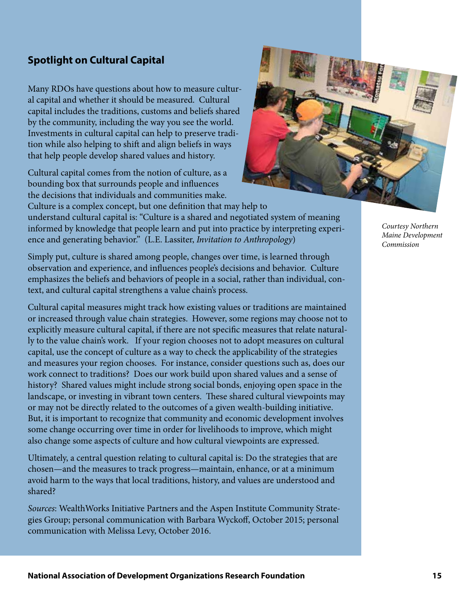# <span id="page-14-0"></span>**Spotlight on Cultural Capital**

Many RDOs have questions about how to measure cultural capital and whether it should be measured. Cultural capital includes the traditions, customs and beliefs shared by the community, including the way you see the world. Investments in cultural capital can help to preserve tradition while also helping to shift and align beliefs in ways that help people develop shared values and history.

Cultural capital comes from the notion of culture, as a bounding box that surrounds people and influences the decisions that individuals and communities make.

Culture is a complex concept, but one definition that may help to understand cultural capital is: "Culture is a shared and negotiated system of meaning informed by knowledge that people learn and put into practice by interpreting experience and generating behavior." (L.E. Lassiter, *Invitation to Anthropology*)

Simply put, culture is shared among people, changes over time, is learned through observation and experience, and influences people's decisions and behavior. Culture emphasizes the beliefs and behaviors of people in a social, rather than individual, context, and cultural capital strengthens a value chain's process.

Cultural capital measures might track how existing values or traditions are maintained or increased through value chain strategies. However, some regions may choose not to explicitly measure cultural capital, if there are not specific measures that relate naturally to the value chain's work. If your region chooses not to adopt measures on cultural capital, use the concept of culture as a way to check the applicability of the strategies and measures your region chooses. For instance, consider questions such as, does our work connect to traditions? Does our work build upon shared values and a sense of history? Shared values might include strong social bonds, enjoying open space in the landscape, or investing in vibrant town centers. These shared cultural viewpoints may or may not be directly related to the outcomes of a given wealth-building initiative. But, it is important to recognize that community and economic development involves some change occurring over time in order for livelihoods to improve, which might also change some aspects of culture and how cultural viewpoints are expressed.

Ultimately, a central question relating to cultural capital is: Do the strategies that are chosen—and the measures to track progress—maintain, enhance, or at a minimum avoid harm to the ways that local traditions, history, and values are understood and shared?

*Sources*: WealthWorks Initiative Partners and the Aspen Institute Community Strategies Group; personal communication with Barbara Wyckoff, October 2015; personal communication with Melissa Levy, October 2016.

*Courtesy Northern Maine Development Commission*